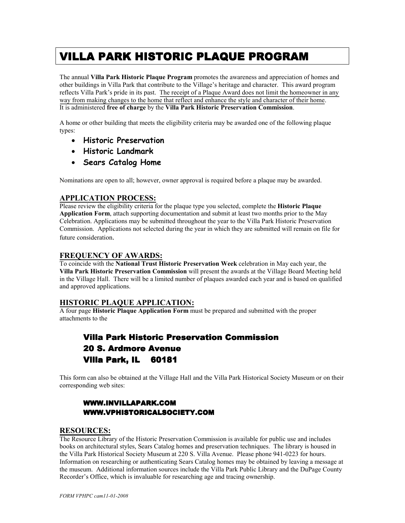# **VILLA PARK HISTORIC PLAQUE PROGRAM**

The annual **Villa Park Historic Plaque Program** promotes the awareness and appreciation of homes and other buildings in Villa Park that contribute to the Village's heritage and character. This award program reflects Villa Park's pride in its past. The receipt of a Plaque Award does not limit the homeowner in any way from making changes to the home that reflect and enhance the style and character of their home. It is administered **free of charge** by the **Villa Park Historic Preservation Commission**.

A home or other building that meets the eligibility criteria may be awarded one of the following plaque types:

- **Historic Preservation**
- **Historic Landmark**
- **Sears Catalog Home**

Nominations are open to all; however, owner approval is required before a plaque may be awarded.

#### **APPLICATION PROCESS:**

Please review the eligibility criteria for the plaque type you selected, complete the **Historic Plaque Application Form**, attach supporting documentation and submit at least two months prior to the May Celebration. Applications may be submitted throughout the year to the Villa Park Historic Preservation Commission. Applications not selected during the year in which they are submitted will remain on file for future consideration.

#### **FREQUENCY OF AWARDS:**

To coincide with the **National Trust Historic Preservation Week** celebration in May each year, the **Villa Park Historic Preservation Commission** will present the awards at the Village Board Meeting held in the Village Hall. There will be a limited number of plaques awarded each year and is based on qualified and approved applications.

#### **HISTORIC PLAQUE APPLICATION:**

A four page **Historic Plaque Application Form** must be prepared and submitted with the proper attachments to the

## **Villa Park Historic Preservation Commission** 20 S. Ardmore Avenue Villa Park, IL 60181

This form can also be obtained at the Village Hall and the Villa Park Historical Society Museum or on their corresponding web sites:

### WWW.INVILLAPARK.COM WWW.VPHISTORICALSOCIETY.COM WWW.VPHISTORICALSOCIETY.COM

#### **RESOURCES:**

The Resource Library of the Historic Preservation Commission is available for public use and includes books on architectural styles, Sears Catalog homes and preservation techniques. The library is housed in the Villa Park Historical Society Museum at 220 S. Villa Avenue. Please phone 941-0223 for hours. Information on researching or authenticating Sears Catalog homes may be obtained by leaving a message at the museum. Additional information sources include the Villa Park Public Library and the DuPage County Recorder's Office, which is invaluable for researching age and tracing ownership.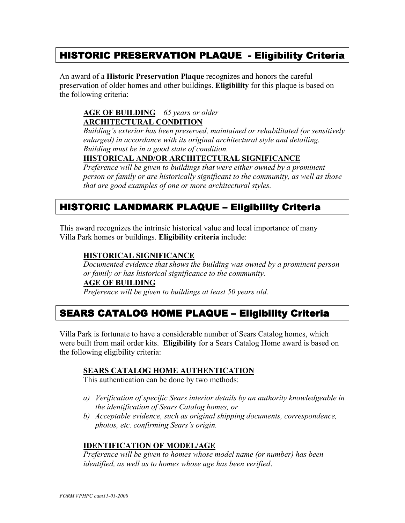## HISTORIC PRESERVATION PLAQUE - Eligibility Criteria

An award of a **Historic Preservation Plaque** recognizes and honors the careful preservation of older homes and other buildings. **Eligibility** for this plaque is based on the following criteria:

### **AGE OF BUILDING** – *65 years or older*  **ARCHITECTURAL CONDITION**

*Building's exterior has been preserved, maintained or rehabilitated (or sensitively enlarged) in accordance with its original architectural style and detailing. Building must be in a good state of condition.*

### **HISTORICAL AND/OR ARCHITECTURAL SIGNIFICANCE**

*Preference will be given to buildings that were either owned by a prominent person or family or are historically significant to the community, as well as those that are good examples of one or more architectural styles.* 

## HISTORIC LANDMARK PLAQUE - Eligibility Criteria

This award recognizes the intrinsic historical value and local importance of many Villa Park homes or buildings. **Eligibility criteria** include:

### **HISTORICAL SIGNIFICANCE**

*Documented evidence that shows the building was owned by a prominent person or family or has historical significance to the community.* 

#### **AGE OF BUILDING**

*Preference will be given to buildings at least 50 years old.* 

## SEARS CATALOG HOME PLAQUE - Eligibility Criteria

Villa Park is fortunate to have a considerable number of Sears Catalog homes, which were built from mail order kits. **Eligibility** for a Sears Catalog Home award is based on the following eligibility criteria:

#### **SEARS CATALOG HOME AUTHENTICATION**

This authentication can be done by two methods:

- *a) Verification of specific Sears interior details by an authority knowledgeable in the identification of Sears Catalog homes, or*
- *b) Acceptable evidence, such as original shipping documents, correspondence, photos, etc. confirming Sears's origin.*

### **IDENTIFICATION OF MODEL/AGE**

*Preference will be given to homes whose model name (or number) has been identified, as well as to homes whose age has been verified*.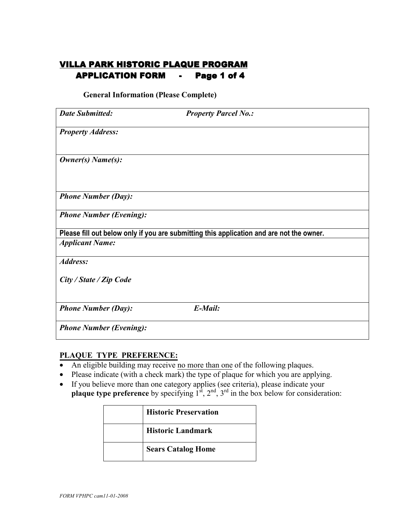## VILLA PARK HISTORIC PLAQUE PROGRAM APPLICATION FORM - Page 1 of 4

**General Information (Please Complete)** 

| <b>Date Submitted:</b>         | <b>Property Parcel No.:</b>                                                              |
|--------------------------------|------------------------------------------------------------------------------------------|
| <b>Property Address:</b>       |                                                                                          |
| Owner(s) Name(s):              |                                                                                          |
| <b>Phone Number (Day):</b>     |                                                                                          |
| <b>Phone Number (Evening):</b> |                                                                                          |
|                                | Please fill out below only if you are submitting this application and are not the owner. |
| <b>Applicant Name:</b>         |                                                                                          |
| Address:                       |                                                                                          |
| City / State / Zip Code        |                                                                                          |
| <b>Phone Number (Day):</b>     | E-Mail:                                                                                  |
| <b>Phone Number (Evening):</b> |                                                                                          |

### **PLAQUE TYPE PREFERENCE:**

- An eligible building may receive no more than one of the following plaques.
- Please indicate (with a check mark) the type of plaque for which you are applying.
- If you believe more than one category applies (see criteria), please indicate your **plaque type preference** by specifying  $1^{st}$ ,  $2^{nd}$ ,  $3^{rd}$  in the box below for consideration:

| <b>Historic Preservation</b> |
|------------------------------|
| <b>Historic Landmark</b>     |
| <b>Sears Catalog Home</b>    |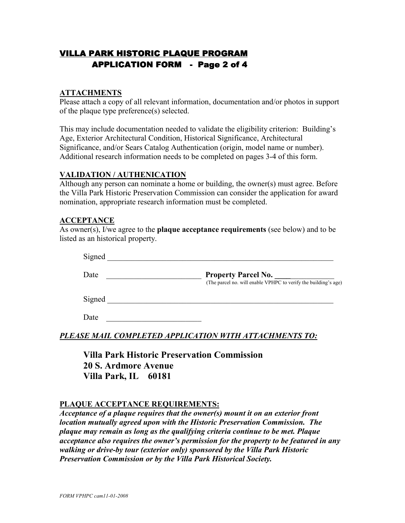## VILLA PARK HISTORIC PLAQUE PROGRAM APPLICATION FORM - Page 2 of 4

### **ATTACHMENTS**

Please attach a copy of all relevant information, documentation and/or photos in support of the plaque type preference(s) selected.

This may include documentation needed to validate the eligibility criterion: Building's Age, Exterior Architectural Condition, Historical Significance, Architectural Significance, and/or Sears Catalog Authentication (origin, model name or number). Additional research information needs to be completed on pages 3-4 of this form.

### **VALIDATION / AUTHENICATION**

Although any person can nominate a home or building, the owner(s) must agree. Before the Villa Park Historic Preservation Commission can consider the application for award nomination, appropriate research information must be completed.

#### **ACCEPTANCE**

As owner(s), I/we agree to the **plaque acceptance requirements** (see below) and to be listed as an historical property.

| Signed |                                                                                               |
|--------|-----------------------------------------------------------------------------------------------|
| Date   | <b>Property Parcel No.</b><br>(The parcel no. will enable VPHPC to verify the building's age) |
| Signed |                                                                                               |

Date

*PLEASE MAIL COMPLETED APPLICATION WITH ATTACHMENTS TO:*

**Villa Park Historic Preservation Commission 20 S. Ardmore Avenue Villa Park, IL 60181** 

#### **PLAQUE ACCEPTANCE REQUIREMENTS:**

*Acceptance of a plaque requires that the owner(s) mount it on an exterior front location mutually agreed upon with the Historic Preservation Commission. The plaque may remain as long as the qualifying criteria continue to be met. Plaque acceptance also requires the owner's permission for the property to be featured in any walking or drive-by tour (exterior only) sponsored by the Villa Park Historic Preservation Commission or by the Villa Park Historical Society.*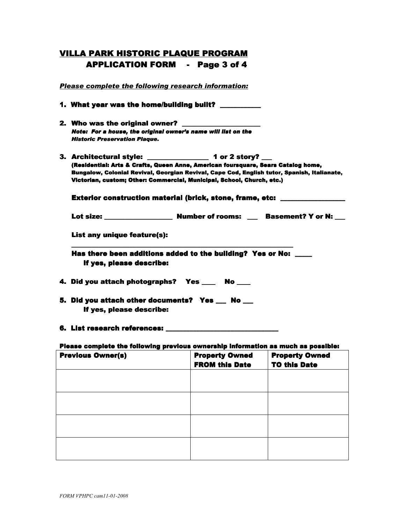## VILLA PARK HISTORIC PLAQUE PROGRAM APPLICATION FORM - Page 3 of 4

*Please complete the following research information:* 1. What year was the home/building built? 2. Who was the original owner? *Note: For a house, the original owner's name will list on the Historic Preservation Plaque.*  3. Architectural style:  $\frac{1}{2}$  1 or 2 storv? (Residential: Arts & Crafts, Queen Anne, American foursquare, Sears Catalog home, Bungalow, Colonial Revival, Georgian Revival, Cape Cod, English tutor, Spanish, Italianate, Victorian, custom; Other: Commercial, Municipal, School, Church, etc.) Exterior construction material (brick, stone, frame, etc: Lot size: \_\_\_\_\_\_\_\_\_\_\_\_\_\_\_\_\_\_\_\_ Number of rooms: \_\_\_ Basement? Y or N: \_\_\_ Lot of rooms: Basement? Y or \_\_\_ List any unique feature(s): \_\_\_\_\_\_\_\_\_\_\_\_\_\_\_\_\_\_ \_\_\_\_\_\_\_\_\_\_\_\_\_\_\_\_\_\_\_\_\_\_\_\_\_\_\_\_\_\_\_\_\_\_\_\_\_\_\_\_\_\_\_\_\_\_\_\_\_\_\_\_\_\_\_\_\_\_\_\_\_\_\_\_\_ \_\_\_\_\_\_\_\_\_\_\_\_\_\_\_\_\_\_\_\_\_\_\_\_\_\_\_\_\_\_\_\_\_\_\_\_\_\_\_\_\_\_\_\_\_\_\_\_\_\_\_\_\_\_\_\_ Has there been additions added to the building? Yes or No: \_\_\_\_ If yes, please describe: 4. Did you attach photographs? Yes \_\_\_\_ No \_\_\_ 5. Did you attach other documents? Yes \_\_\_ No \_\_ If yes, please describe: 6. List research references:

#### Please complete the following previous ownership information as much as possible:

| <b>Previous Owner(s)</b> | <b>Property Owned</b><br><b>FROM this Date</b> | <b>Property Owned</b><br><b>TO this Date</b> |
|--------------------------|------------------------------------------------|----------------------------------------------|
|                          |                                                |                                              |
|                          |                                                |                                              |
|                          |                                                |                                              |
|                          |                                                |                                              |